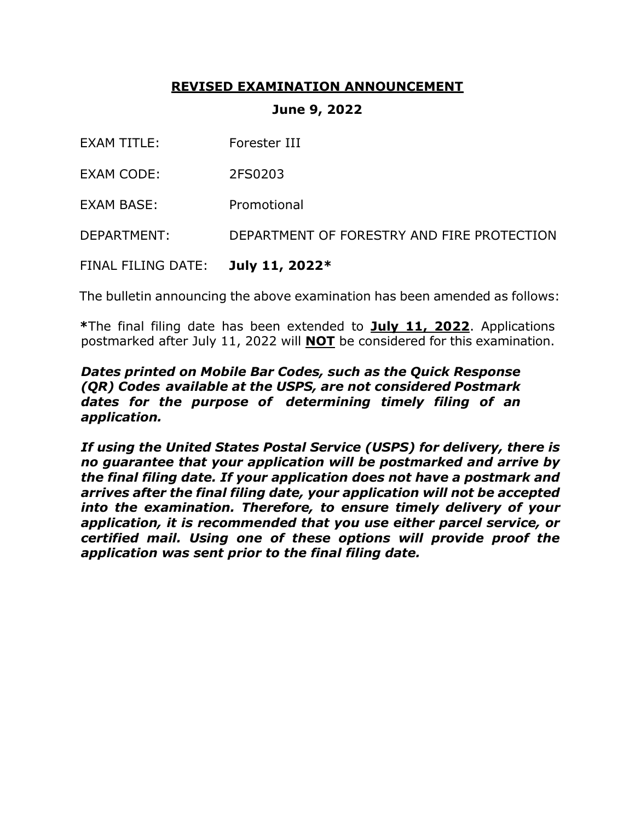### **REVISED EXAMINATION ANNOUNCEMENT**

#### **June 9, 2022**

- EXAM CODE: 2FS0203
- EXAM BASE: Promotional

DEPARTMENT: DEPARTMENT OF FORESTRY AND FIRE PROTECTION

FINAL FILING DATE: **July 11, 2022\***

The bulletin announcing the above examination has been amended as follows:

**\***The final filing date has been extended to **July 11, 2022**. Applications postmarked after July 11, 2022 will **NOT** be considered for this examination.

#### *Dates printed on Mobile Bar Codes, such as the Quick Response (QR) Codes available at the USPS, are not considered Postmark dates for the purpose of determining timely filing of an application.*

*If using the United States Postal Service (USPS) for delivery, there is no guarantee that your application will be postmarked and arrive by the final filing date. If your application does not have a postmark and arrives after the final filing date, your application will not be accepted into the examination. Therefore, to ensure timely delivery of your application, it is recommended that you use either parcel service, or certified mail. Using one of these options will provide proof the application was sent prior to the final filing date.*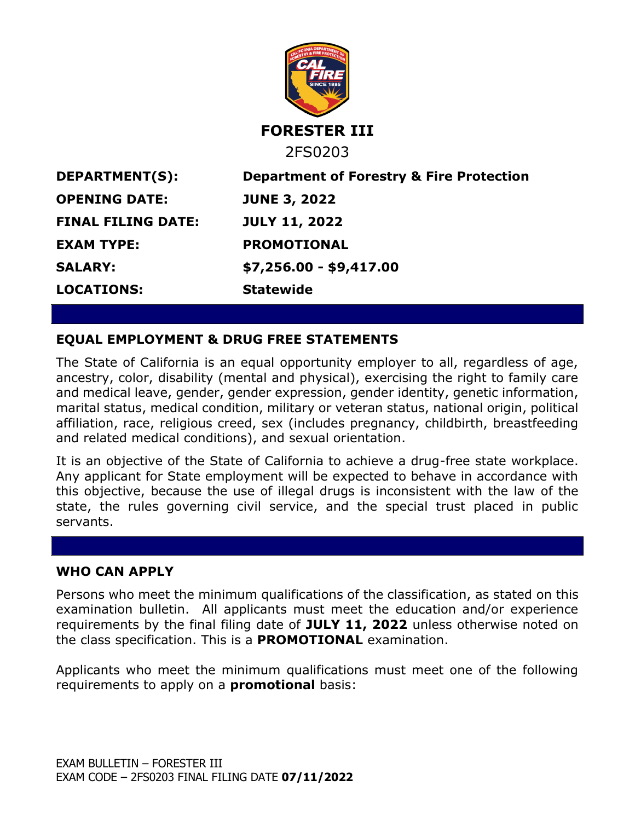

### **EQUAL EMPLOYMENT & DRUG FREE STATEMENTS**

The State of California is an equal opportunity employer to all, regardless of age, ancestry, color, disability (mental and physical), exercising the right to family care and medical leave, gender, gender expression, gender identity, genetic information, marital status, medical condition, military or veteran status, national origin, political affiliation, race, religious creed, sex (includes pregnancy, childbirth, breastfeeding and related medical conditions), and sexual orientation.

It is an objective of the State of California to achieve a drug-free state workplace. Any applicant for State employment will be expected to behave in accordance with this objective, because the use of illegal drugs is inconsistent with the law of the state, the rules governing civil service, and the special trust placed in public servants.

#### **WHO CAN APPLY**

Persons who meet the minimum qualifications of the classification, as stated on this examination bulletin. All applicants must meet the education and/or experience requirements by the final filing date of **JULY 11, 2022** unless otherwise noted on the class specification. This is a **PROMOTIONAL** examination.

Applicants who meet the minimum qualifications must meet one of the following requirements to apply on a **promotional** basis: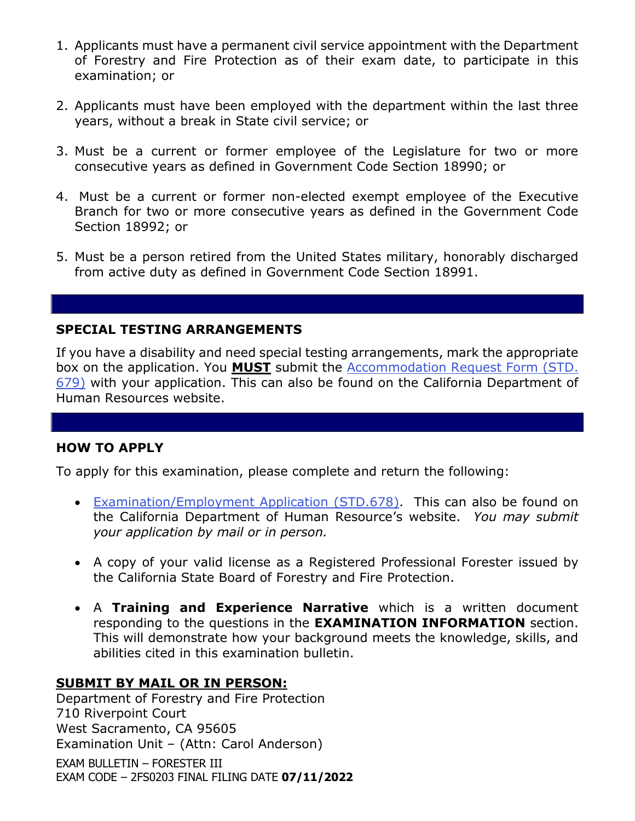- 1. Applicants must have a permanent civil service appointment with the Department of Forestry and Fire Protection as of their exam date, to participate in this examination; or
- 2. Applicants must have been employed with the department within the last three years, without a break in State civil service; or
- 3. Must be a current or former employee of the Legislature for two or more consecutive years as defined in Government Code Section 18990; or
- 4. Must be a current or former non-elected exempt employee of the Executive Branch for two or more consecutive years as defined in the Government Code Section 18992; or
- 5. Must be a person retired from the United States military, honorably discharged from active duty as defined in Government Code Section 18991.

#### **SPECIAL TESTING ARRANGEMENTS**

If you have a disability and need special testing arrangements, mark the appropriate box on the application. You **MUST** submit the [Accommodation Request Form \(STD.](https://jobs.ca.gov/pdf/STD679.pdf)  [679\)](https://jobs.ca.gov/pdf/STD679.pdf) with your application. This can also be found on the California Department of Human Resources website.

### **HOW TO APPLY**

To apply for this examination, please complete and return the following:

- [Examination/Employment Application \(STD.678\).](https://jobs.ca.gov/pdf/std678.pdf) This can also be found on the California Department of Human Resource's website. *You may submit your application by mail or in person.*
- A copy of your valid license as a Registered Professional Forester issued by the California State Board of Forestry and Fire Protection.
- A **Training and Experience Narrative** which is a written document responding to the questions in the **EXAMINATION INFORMATION** section. This will demonstrate how your background meets the knowledge, skills, and abilities cited in this examination bulletin.

### **SUBMIT BY MAIL OR IN PERSON:**

Department of Forestry and Fire Protection 710 Riverpoint Court West Sacramento, CA 95605 Examination Unit – (Attn: Carol Anderson)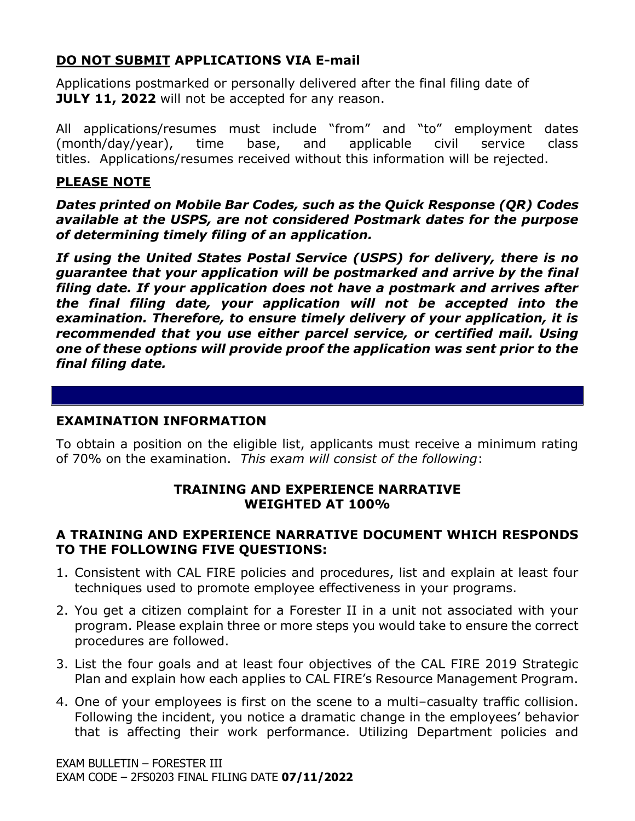## **DO NOT SUBMIT APPLICATIONS VIA E-mail**

Applications postmarked or personally delivered after the final filing date of **JULY 11, 2022** will not be accepted for any reason.

All applications/resumes must include "from" and "to" employment dates (month/day/year), time base, and applicable civil service class titles. Applications/resumes received without this information will be rejected.

### **PLEASE NOTE**

*Dates printed on Mobile Bar Codes, such as the Quick Response (QR) Codes available at the USPS, are not considered Postmark dates for the purpose of determining timely filing of an application.*

*If using the United States Postal Service (USPS) for delivery, there is no guarantee that your application will be postmarked and arrive by the final filing date. If your application does not have a postmark and arrives after the final filing date, your application will not be accepted into the examination. Therefore, to ensure timely delivery of your application, it is recommended that you use either parcel service, or certified mail. Using one of these options will provide proof the application was sent prior to the final filing date.*

### **EXAMINATION INFORMATION**

To obtain a position on the eligible list, applicants must receive a minimum rating of 70% on the examination. *This exam will consist of the following*:

### **TRAINING AND EXPERIENCE NARRATIVE WEIGHTED AT 100%**

### **A TRAINING AND EXPERIENCE NARRATIVE DOCUMENT WHICH RESPONDS TO THE FOLLOWING FIVE QUESTIONS:**

- 1. Consistent with CAL FIRE policies and procedures, list and explain at least four techniques used to promote employee effectiveness in your programs.
- 2. You get a citizen complaint for a Forester II in a unit not associated with your program. Please explain three or more steps you would take to ensure the correct procedures are followed.
- 3. List the four goals and at least four objectives of the CAL FIRE 2019 Strategic Plan and explain how each applies to CAL FIRE's Resource Management Program.
- 4. One of your employees is first on the scene to a multi–casualty traffic collision. Following the incident, you notice a dramatic change in the employees' behavior that is affecting their work performance. Utilizing Department policies and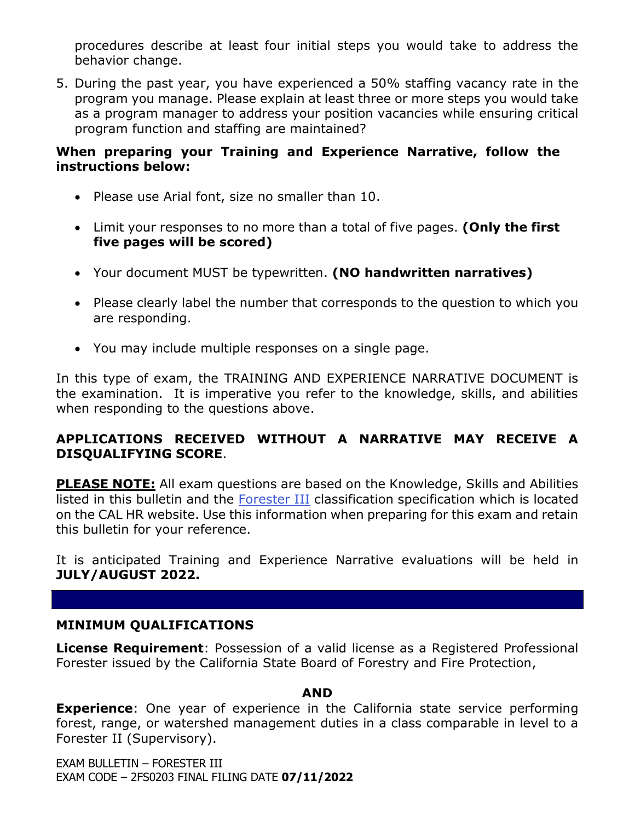procedures describe at least four initial steps you would take to address the behavior change.

5. During the past year, you have experienced a 50% staffing vacancy rate in the program you manage. Please explain at least three or more steps you would take as a program manager to address your position vacancies while ensuring critical program function and staffing are maintained?

### **When preparing your Training and Experience Narrative, follow the instructions below:**

- Please use Arial font, size no smaller than 10.
- Limit your responses to no more than a total of five pages. **(Only the first five pages will be scored)**
- Your document MUST be typewritten. **(NO handwritten narratives)**
- Please clearly label the number that corresponds to the question to which you are responding.
- You may include multiple responses on a single page.

In this type of exam, the TRAINING AND EXPERIENCE NARRATIVE DOCUMENT is the examination. It is imperative you refer to the knowledge, skills, and abilities when responding to the questions above.

## **APPLICATIONS RECEIVED WITHOUT A NARRATIVE MAY RECEIVE A DISQUALIFYING SCORE**.

**PLEASE NOTE:** All exam questions are based on the Knowledge, Skills and Abilities listed in this bulletin and the [Forester III](https://www.calhr.ca.gov/state-hr-professionals/Pages/1054.aspx) classification specification which is located on the CAL HR website. Use this information when preparing for this exam and retain this bulletin for your reference.

It is anticipated Training and Experience Narrative evaluations will be held in **JULY/AUGUST 2022.**

## **MINIMUM QUALIFICATIONS**

**License Requirement**: Possession of a valid license as a Registered Professional Forester issued by the California State Board of Forestry and Fire Protection,

### **AND**

**Experience**: One year of experience in the California state service performing forest, range, or watershed management duties in a class comparable in level to a Forester II (Supervisory).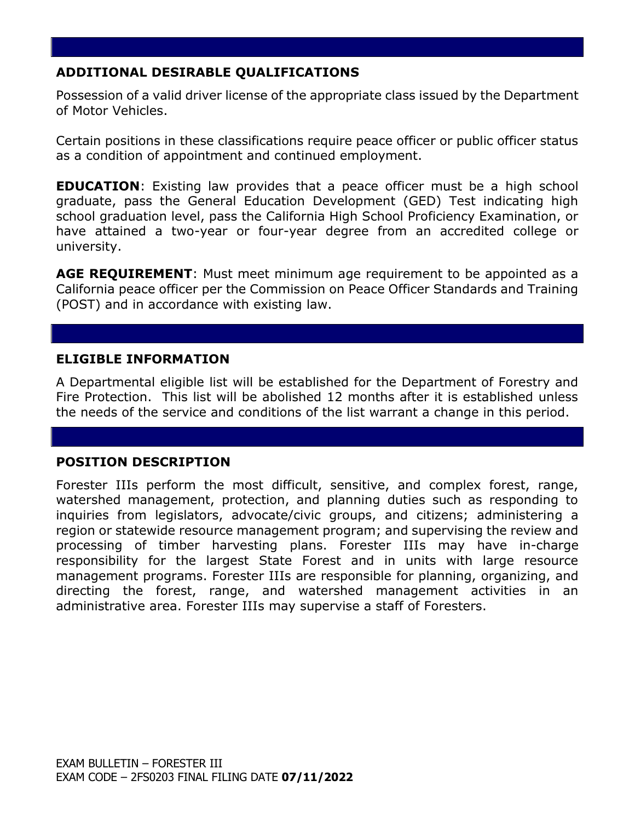## **ADDITIONAL DESIRABLE QUALIFICATIONS**

Possession of a valid driver license of the appropriate class issued by the Department of Motor Vehicles.

Certain positions in these classifications require peace officer or public officer status as a condition of appointment and continued employment.

**EDUCATION:** Existing law provides that a peace officer must be a high school graduate, pass the General Education Development (GED) Test indicating high school graduation level, pass the California High School Proficiency Examination, or have attained a two-year or four-year degree from an accredited college or university.

**AGE REQUIREMENT**: Must meet minimum age requirement to be appointed as a California peace officer per the Commission on Peace Officer Standards and Training (POST) and in accordance with existing law.

### **ELIGIBLE INFORMATION**

A Departmental eligible list will be established for the Department of Forestry and Fire Protection. This list will be abolished 12 months after it is established unless the needs of the service and conditions of the list warrant a change in this period.

### **POSITION DESCRIPTION**

Forester IIIs perform the most difficult, sensitive, and complex forest, range, watershed management, protection, and planning duties such as responding to inquiries from legislators, advocate/civic groups, and citizens; administering a region or statewide resource management program; and supervising the review and processing of timber harvesting plans. Forester IIIs may have in-charge responsibility for the largest State Forest and in units with large resource management programs. Forester IIIs are responsible for planning, organizing, and directing the forest, range, and watershed management activities in an administrative area. Forester IIIs may supervise a staff of Foresters.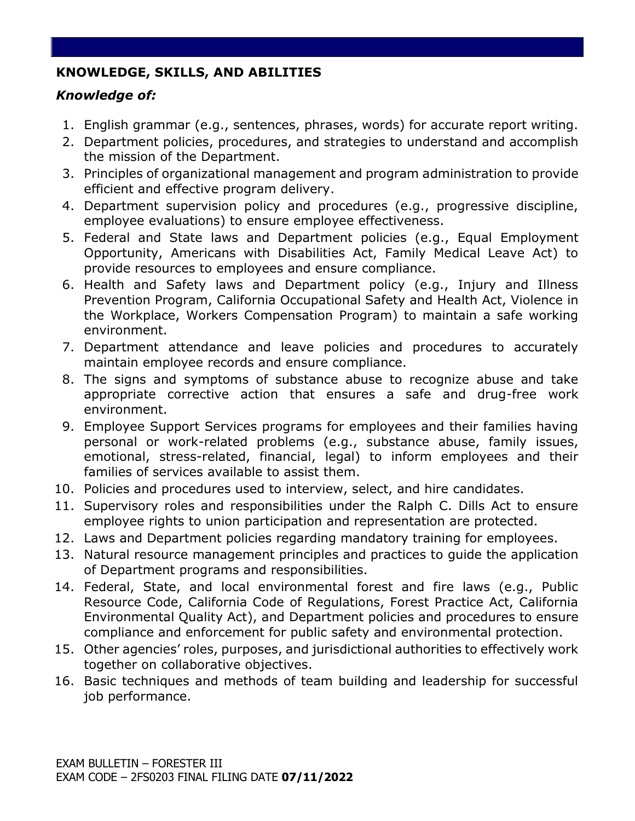# **KNOWLEDGE, SKILLS, AND ABILITIES**

# *Knowledge of:*

- 1. English grammar (e.g., sentences, phrases, words) for accurate report writing.
- 2. Department policies, procedures, and strategies to understand and accomplish the mission of the Department.
- 3. Principles of organizational management and program administration to provide efficient and effective program delivery.
- 4. Department supervision policy and procedures (e.g., progressive discipline, employee evaluations) to ensure employee effectiveness.
- 5. Federal and State laws and Department policies (e.g., Equal Employment Opportunity, Americans with Disabilities Act, Family Medical Leave Act) to provide resources to employees and ensure compliance.
- 6. Health and Safety laws and Department policy (e.g., Injury and Illness Prevention Program, California Occupational Safety and Health Act, Violence in the Workplace, Workers Compensation Program) to maintain a safe working environment.
- 7. Department attendance and leave policies and procedures to accurately maintain employee records and ensure compliance.
- 8. The signs and symptoms of substance abuse to recognize abuse and take appropriate corrective action that ensures a safe and drug-free work environment.
- 9. Employee Support Services programs for employees and their families having personal or work-related problems (e.g., substance abuse, family issues, emotional, stress-related, financial, legal) to inform employees and their families of services available to assist them.
- 10. Policies and procedures used to interview, select, and hire candidates.
- 11. Supervisory roles and responsibilities under the Ralph C. Dills Act to ensure employee rights to union participation and representation are protected.
- 12. Laws and Department policies regarding mandatory training for employees.
- 13. Natural resource management principles and practices to guide the application of Department programs and responsibilities.
- 14. Federal, State, and local environmental forest and fire laws (e.g., Public Resource Code, California Code of Regulations, Forest Practice Act, California Environmental Quality Act), and Department policies and procedures to ensure compliance and enforcement for public safety and environmental protection.
- 15. Other agencies' roles, purposes, and jurisdictional authorities to effectively work together on collaborative objectives.
- 16. Basic techniques and methods of team building and leadership for successful job performance.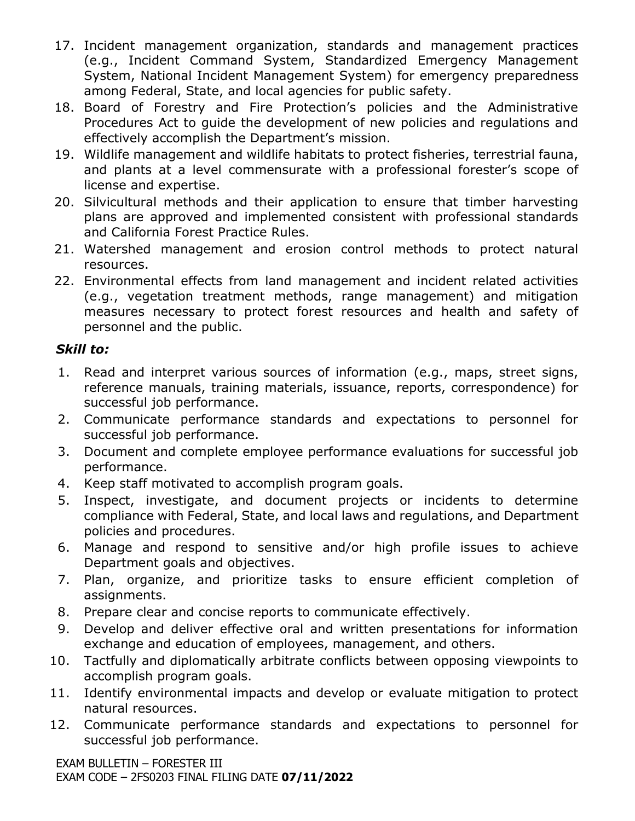- 17. Incident management organization, standards and management practices (e.g., Incident Command System, Standardized Emergency Management System, National Incident Management System) for emergency preparedness among Federal, State, and local agencies for public safety.
- 18. Board of Forestry and Fire Protection's policies and the Administrative Procedures Act to guide the development of new policies and regulations and effectively accomplish the Department's mission.
- 19. Wildlife management and wildlife habitats to protect fisheries, terrestrial fauna, and plants at a level commensurate with a professional forester's scope of license and expertise.
- 20. Silvicultural methods and their application to ensure that timber harvesting plans are approved and implemented consistent with professional standards and California Forest Practice Rules.
- 21. Watershed management and erosion control methods to protect natural resources.
- 22. Environmental effects from land management and incident related activities (e.g., vegetation treatment methods, range management) and mitigation measures necessary to protect forest resources and health and safety of personnel and the public.

## *Skill to:*

- 1. Read and interpret various sources of information (e.g., maps, street signs, reference manuals, training materials, issuance, reports, correspondence) for successful job performance.
- 2. Communicate performance standards and expectations to personnel for successful job performance.
- 3. Document and complete employee performance evaluations for successful job performance.
- 4. Keep staff motivated to accomplish program goals.
- 5. Inspect, investigate, and document projects or incidents to determine compliance with Federal, State, and local laws and regulations, and Department policies and procedures.
- 6. Manage and respond to sensitive and/or high profile issues to achieve Department goals and objectives.
- 7. Plan, organize, and prioritize tasks to ensure efficient completion of assignments.
- 8. Prepare clear and concise reports to communicate effectively.
- 9. Develop and deliver effective oral and written presentations for information exchange and education of employees, management, and others.
- 10. Tactfully and diplomatically arbitrate conflicts between opposing viewpoints to accomplish program goals.
- 11. Identify environmental impacts and develop or evaluate mitigation to protect natural resources.
- 12. Communicate performance standards and expectations to personnel for successful job performance.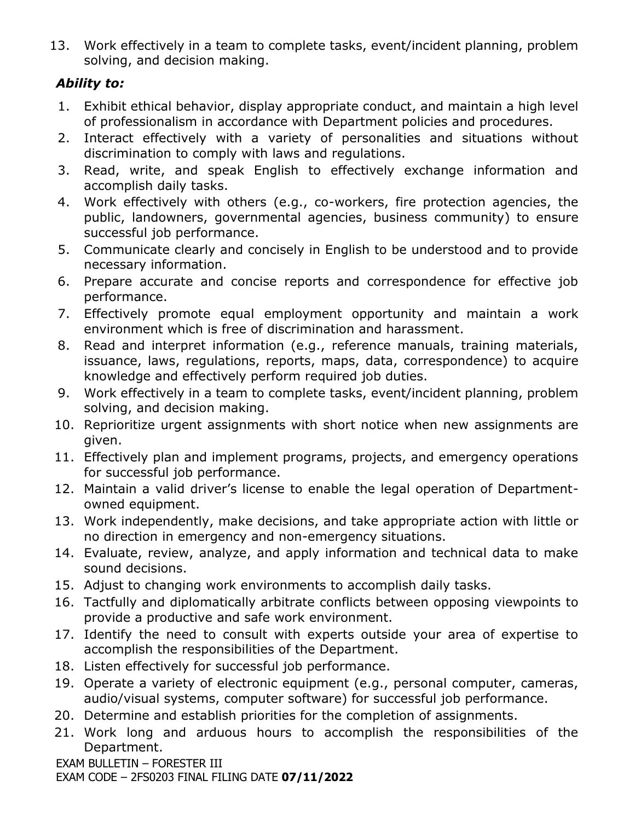13. Work effectively in a team to complete tasks, event/incident planning, problem solving, and decision making.

# *Ability to:*

- 1. Exhibit ethical behavior, display appropriate conduct, and maintain a high level of professionalism in accordance with Department policies and procedures.
- 2. Interact effectively with a variety of personalities and situations without discrimination to comply with laws and regulations.
- 3. Read, write, and speak English to effectively exchange information and accomplish daily tasks.
- 4. Work effectively with others (e.g., co-workers, fire protection agencies, the public, landowners, governmental agencies, business community) to ensure successful job performance.
- 5. Communicate clearly and concisely in English to be understood and to provide necessary information.
- 6. Prepare accurate and concise reports and correspondence for effective job performance.
- 7. Effectively promote equal employment opportunity and maintain a work environment which is free of discrimination and harassment.
- 8. Read and interpret information (e.g., reference manuals, training materials, issuance, laws, regulations, reports, maps, data, correspondence) to acquire knowledge and effectively perform required job duties.
- 9. Work effectively in a team to complete tasks, event/incident planning, problem solving, and decision making.
- 10. Reprioritize urgent assignments with short notice when new assignments are given.
- 11. Effectively plan and implement programs, projects, and emergency operations for successful job performance.
- 12. Maintain a valid driver's license to enable the legal operation of Departmentowned equipment.
- 13. Work independently, make decisions, and take appropriate action with little or no direction in emergency and non-emergency situations.
- 14. Evaluate, review, analyze, and apply information and technical data to make sound decisions.
- 15. Adjust to changing work environments to accomplish daily tasks.
- 16. Tactfully and diplomatically arbitrate conflicts between opposing viewpoints to provide a productive and safe work environment.
- 17. Identify the need to consult with experts outside your area of expertise to accomplish the responsibilities of the Department.
- 18. Listen effectively for successful job performance.
- 19. Operate a variety of electronic equipment (e.g., personal computer, cameras, audio/visual systems, computer software) for successful job performance.
- 20. Determine and establish priorities for the completion of assignments.
- 21. Work long and arduous hours to accomplish the responsibilities of the Department.

EXAM BULLETIN – FORESTER III

EXAM CODE – 2FS0203 FINAL FILING DATE **07/11/2022**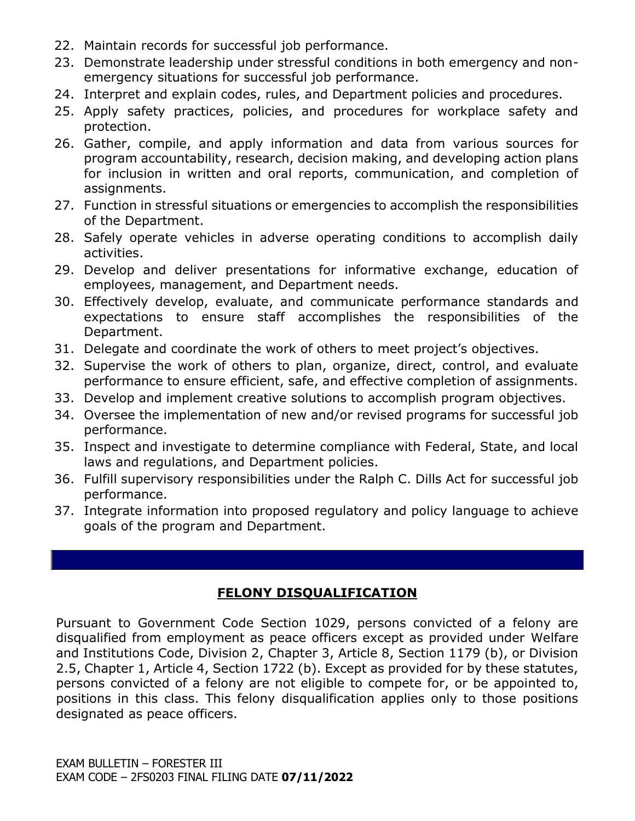- 22. Maintain records for successful job performance.
- 23. Demonstrate leadership under stressful conditions in both emergency and nonemergency situations for successful job performance.
- 24. Interpret and explain codes, rules, and Department policies and procedures.
- 25. Apply safety practices, policies, and procedures for workplace safety and protection.
- 26. Gather, compile, and apply information and data from various sources for program accountability, research, decision making, and developing action plans for inclusion in written and oral reports, communication, and completion of assignments.
- 27. Function in stressful situations or emergencies to accomplish the responsibilities of the Department.
- 28. Safely operate vehicles in adverse operating conditions to accomplish daily activities.
- 29. Develop and deliver presentations for informative exchange, education of employees, management, and Department needs.
- 30. Effectively develop, evaluate, and communicate performance standards and expectations to ensure staff accomplishes the responsibilities of the Department.
- 31. Delegate and coordinate the work of others to meet project's objectives.
- 32. Supervise the work of others to plan, organize, direct, control, and evaluate performance to ensure efficient, safe, and effective completion of assignments.
- 33. Develop and implement creative solutions to accomplish program objectives.
- 34. Oversee the implementation of new and/or revised programs for successful job performance.
- 35. Inspect and investigate to determine compliance with Federal, State, and local laws and regulations, and Department policies.
- 36. Fulfill supervisory responsibilities under the Ralph C. Dills Act for successful job performance.
- 37. Integrate information into proposed regulatory and policy language to achieve goals of the program and Department.

# **FELONY DISQUALIFICATION**

Pursuant to Government Code Section 1029, persons convicted of a felony are disqualified from employment as peace officers except as provided under Welfare and Institutions Code, Division 2, Chapter 3, Article 8, Section 1179 (b), or Division 2.5, Chapter 1, Article 4, Section 1722 (b). Except as provided for by these statutes, persons convicted of a felony are not eligible to compete for, or be appointed to, positions in this class. This felony disqualification applies only to those positions designated as peace officers.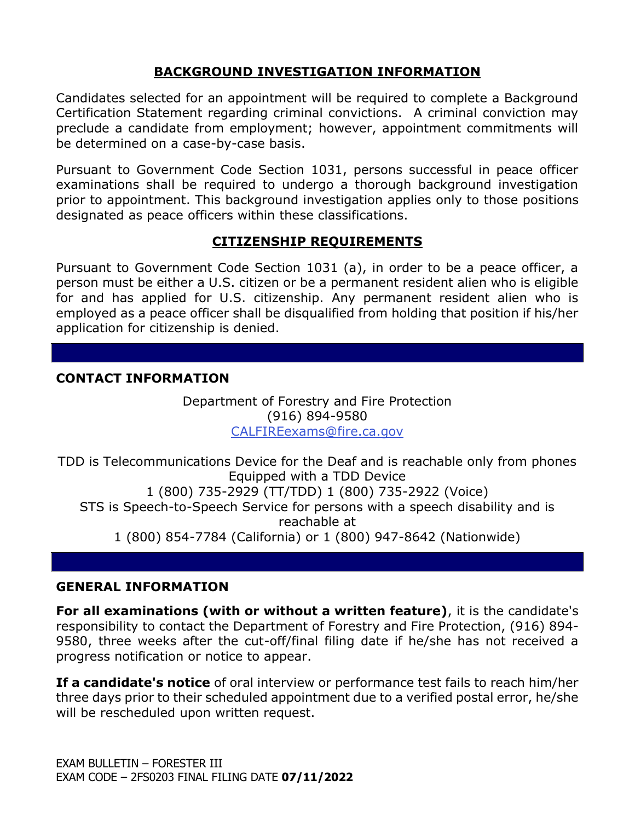## **BACKGROUND INVESTIGATION INFORMATION**

Candidates selected for an appointment will be required to complete a Background Certification Statement regarding criminal convictions. A criminal conviction may preclude a candidate from employment; however, appointment commitments will be determined on a case-by-case basis.

Pursuant to Government Code Section 1031, persons successful in peace officer examinations shall be required to undergo a thorough background investigation prior to appointment. This background investigation applies only to those positions designated as peace officers within these classifications.

### **CITIZENSHIP REQUIREMENTS**

Pursuant to Government Code Section 1031 (a), in order to be a peace officer, a person must be either a U.S. citizen or be a permanent resident alien who is eligible for and has applied for U.S. citizenship. Any permanent resident alien who is employed as a peace officer shall be disqualified from holding that position if his/her application for citizenship is denied.

### **CONTACT INFORMATION**

Department of Forestry and Fire Protection (916) 894-9580 [CALFIREexams@fire.ca.gov](mailto:CALFIREexams@fire.ca.gov)

TDD is Telecommunications Device for the Deaf and is reachable only from phones Equipped with a TDD Device 1 (800) 735-2929 (TT/TDD) 1 (800) 735-2922 (Voice) STS is Speech-to-Speech Service for persons with a speech disability and is reachable at 1 (800) 854-7784 (California) or 1 (800) 947-8642 (Nationwide)

### **GENERAL INFORMATION**

**For all examinations (with or without a written feature)**, it is the candidate's responsibility to contact the Department of Forestry and Fire Protection, (916) 894- 9580, three weeks after the cut-off/final filing date if he/she has not received a progress notification or notice to appear.

**If a candidate's notice** of oral interview or performance test fails to reach him/her three days prior to their scheduled appointment due to a verified postal error, he/she will be rescheduled upon written request.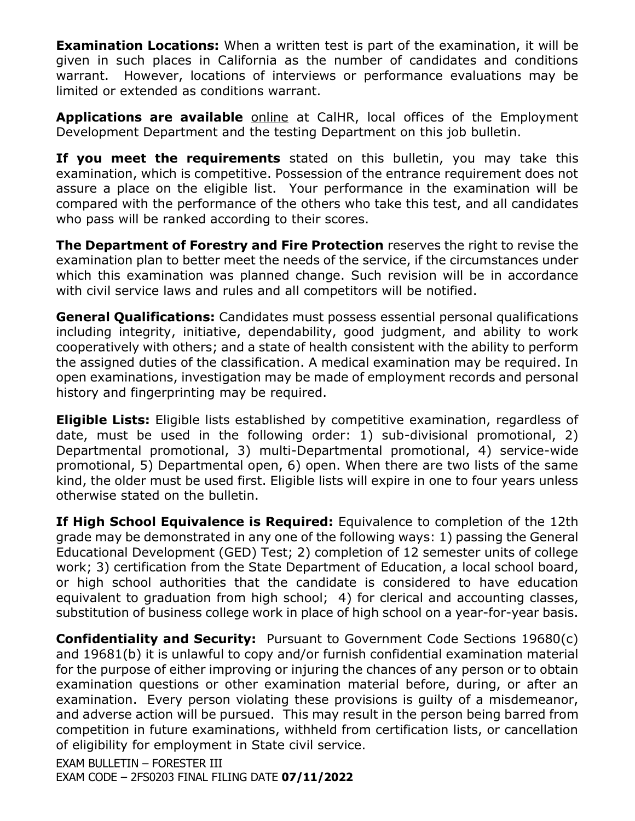**Examination Locations:** When a written test is part of the examination, it will be given in such places in California as the number of candidates and conditions warrant. However, locations of interviews or performance evaluations may be limited or extended as conditions warrant.

**Applications are available** [online](https://jobs.ca.gov/pdf/std678.pdf) at CalHR, local offices of the Employment Development Department and the testing Department on this job bulletin.

**If you meet the requirements** stated on this bulletin, you may take this examination, which is competitive. Possession of the entrance requirement does not assure a place on the eligible list. Your performance in the examination will be compared with the performance of the others who take this test, and all candidates who pass will be ranked according to their scores.

**The Department of Forestry and Fire Protection** reserves the right to revise the examination plan to better meet the needs of the service, if the circumstances under which this examination was planned change. Such revision will be in accordance with civil service laws and rules and all competitors will be notified.

**General Qualifications:** Candidates must possess essential personal qualifications including integrity, initiative, dependability, good judgment, and ability to work cooperatively with others; and a state of health consistent with the ability to perform the assigned duties of the classification. A medical examination may be required. In open examinations, investigation may be made of employment records and personal history and fingerprinting may be required.

**Eligible Lists:** Eligible lists established by competitive examination, regardless of date, must be used in the following order: 1) sub-divisional promotional, 2) Departmental promotional, 3) multi-Departmental promotional, 4) service-wide promotional, 5) Departmental open, 6) open. When there are two lists of the same kind, the older must be used first. Eligible lists will expire in one to four years unless otherwise stated on the bulletin.

**If High School Equivalence is Required:** Equivalence to completion of the 12th grade may be demonstrated in any one of the following ways: 1) passing the General Educational Development (GED) Test; 2) completion of 12 semester units of college work; 3) certification from the State Department of Education, a local school board, or high school authorities that the candidate is considered to have education equivalent to graduation from high school; 4) for clerical and accounting classes, substitution of business college work in place of high school on a year-for-year basis.

**Confidentiality and Security:** Pursuant to Government Code Sections 19680(c) and 19681(b) it is unlawful to copy and/or furnish confidential examination material for the purpose of either improving or injuring the chances of any person or to obtain examination questions or other examination material before, during, or after an examination. Every person violating these provisions is guilty of a misdemeanor, and adverse action will be pursued. This may result in the person being barred from competition in future examinations, withheld from certification lists, or cancellation of eligibility for employment in State civil service.